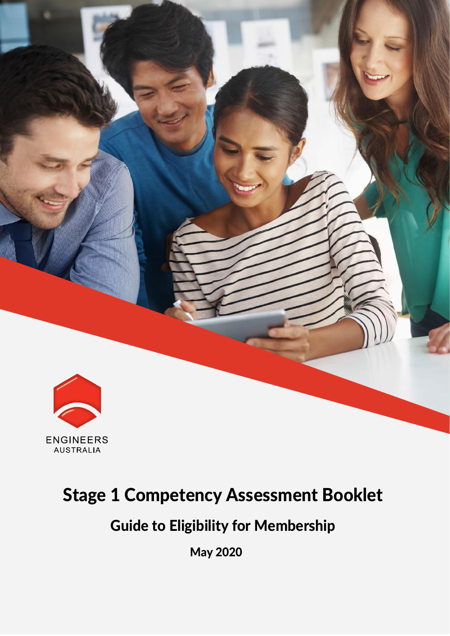

### Stage 1 Competency Assessment Booklet

### Guide to Eligibility for Membership

May 2020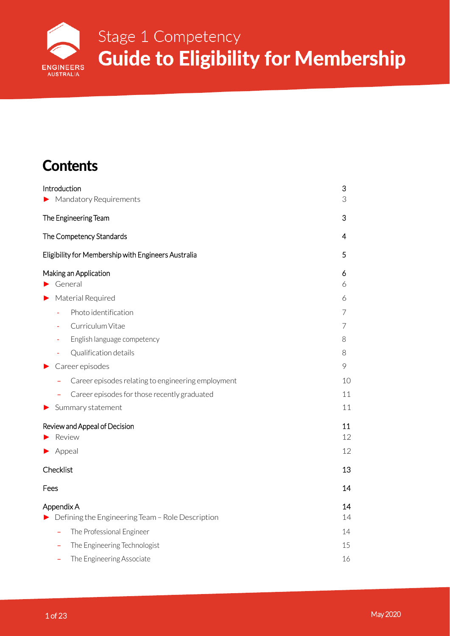

### **Contents**

|   | Introduction                                        | 3  |
|---|-----------------------------------------------------|----|
|   | Mandatory Requirements                              | 3  |
|   | The Engineering Team                                | 3  |
|   | The Competency Standards                            | 4  |
|   | Eligibility for Membership with Engineers Australia | 5  |
|   | Making an Application                               | 6  |
|   | $\blacktriangleright$ General                       | 6  |
| ▶ | Material Required                                   | 6  |
|   | Photo identification<br>÷,                          | 7  |
|   | Curriculum Vitae                                    | 7  |
|   | English language competency                         | 8  |
|   | Qualification details                               | 8  |
| ▶ | Career episodes                                     | 9  |
|   | Career episodes relating to engineering employment  | 10 |
|   | Career episodes for those recently graduated<br>÷   | 11 |
| ▶ | Summary statement                                   | 11 |
|   | Review and Appeal of Decision                       | 11 |
|   | Review                                              | 12 |
|   | Appeal                                              | 12 |
|   | Checklist                                           | 13 |
|   | Fees                                                | 14 |
|   | Appendix A                                          | 14 |
|   | Defining the Engineering Team - Role Description    | 14 |
|   | The Professional Engineer<br>÷                      | 14 |
|   | The Engineering Technologist                        | 15 |
|   | The Engineering Associate                           | 16 |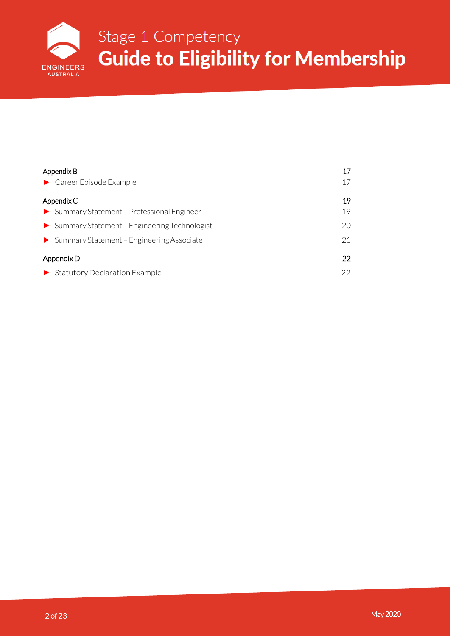

# Stage 1 Competency **Eligibility for Membership Guide**

| Appendix B                                                    | 17 |
|---------------------------------------------------------------|----|
| $\blacktriangleright$ Career Episode Example                  | 17 |
| Appendix C                                                    | 19 |
| Summary Statement - Professional Engineer                     | 19 |
| $\triangleright$ Summary Statement - Engineering Technologist | 20 |
| $\triangleright$ Summary Statement - Engineering Associate    | 21 |
| Appendix D                                                    | 22 |
| Statutory Declaration Example                                 | 22 |
|                                                               |    |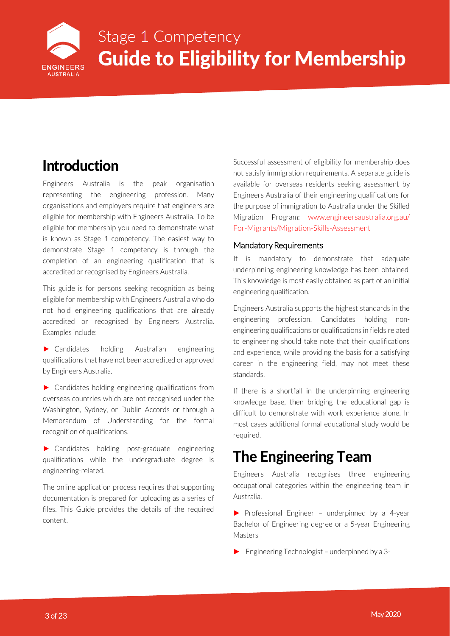

### <span id="page-3-0"></span>Introduction

Engineers Australia is the peak organisation representing the engineering profession. Many organisations and employers require that engineers are eligible for membership with Engineers Australia. To be eligible for membership you need to demonstrate what is known as Stage 1 competency. The easiest way to demonstrate Stage 1 competency is through the completion of an engineering qualification that is accredited or recognised by Engineers Australia.

This guide is for persons seeking recognition as being eligible for membership with Engineers Australia who do not hold engineering qualifications that are already accredited or recognised by Engineers Australia. Examples include:

► Candidates holding Australian engineering qualifications that have not been accredited or approved by Engineers Australia.

 $\blacktriangleright$  Candidates holding engineering qualifications from overseas countries which are not recognised under the Washington, Sydney, or Dublin Accords or through a Memorandum of Understanding for the formal recognition of qualifications.

► Candidates holding post-graduate engineering qualifications while the undergraduate degree is engineering-related.

The online application process requires that supporting documentation is prepared for uploading as a series of files. This Guide provides the details of the required content.

Successful assessment of eligibility for membership does not satisfy immigration requirements. A separate guide is available for overseas residents seeking assessment by Engineers Australia of their engineering qualifications for the purpose of immigration to Australia under the Skilled Migration Program: [www.engineersaustralia.org.au/](http://www.engineersaustralia.org.au/For-Migrants/Migration-Skills-Assessment) [For-Migrants/Migration-Skills-Assessment](http://www.engineersaustralia.org.au/For-Migrants/Migration-Skills-Assessment)

#### Mandatory Requirements

It is mandatory to demonstrate that adequate underpinning engineering knowledge has been obtained. This knowledge is most easily obtained as part of an initial engineering qualification.

Engineers Australia supports the highest standards in the engineering profession. Candidates holding nonengineering qualifications or qualifications in fields related to engineering should take note that their qualifications and experience, while providing the basis for a satisfying career in the engineering field, may not meet these standards.

If there is a shortfall in the underpinning engineering knowledge base, then bridging the educational gap is difficult to demonstrate with work experience alone. In most cases additional formal educational study would be required.

### The Engineering Team

Engineers Australia recognises three engineering occupational categories within the engineering team in Australia.

► Professional Engineer – underpinned by a 4-year Bachelor of Engineering degree or a 5-year Engineering Masters

 $\blacktriangleright$  Engineering Technologist – underpinned by a 3-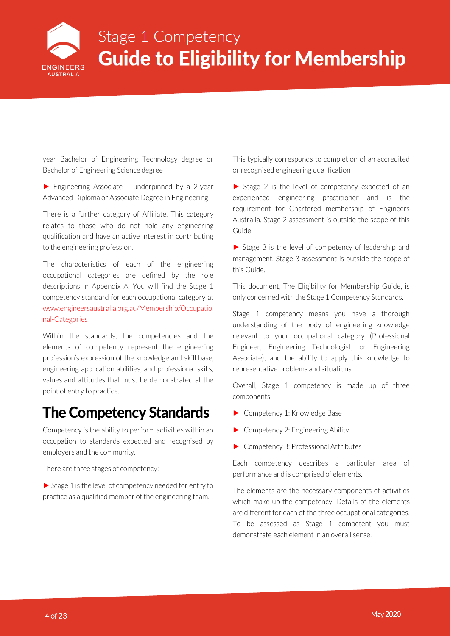

<span id="page-4-0"></span>year Bachelor of Engineering Technology degree or Bachelor of Engineering Science degree

 $\blacktriangleright$  Engineering Associate – underpinned by a 2-year Advanced Diploma or Associate Degree in Engineering

There is a further category of Affiliate. This category relates to those who do not hold any engineering qualification and have an active interest in contributing to the engineering profession.

The characteristics of each of the engineering occupational categories are defined by the role descriptions in Appendix A. You will find the Stage 1 competency standard for each occupational category at [www.engineersaustralia.org.au/Membership/Occupatio](http://www.engineersaustralia.org.au/Membership/Occupational-Categories) [nal-Categories](http://www.engineersaustralia.org.au/Membership/Occupational-Categories)

Within the standards, the competencies and the elements of competency represent the engineering profession's expression of the knowledge and skill base, engineering application abilities, and professional skills, values and attitudes that must be demonstrated at the point of entry to practice.

### The Competency Standards

Competency is the ability to perform activities within an occupation to standards expected and recognised by employers and the community.

There are three stages of competency:

► Stage 1 is the level of competency needed for entry to practice as a qualified member of the engineering team.

This typically corresponds to completion of an accredited or recognised engineering qualification

► Stage 2 is the level of competency expected of an experienced engineering practitioner and is the requirement for Chartered membership of Engineers Australia. Stage 2 assessment is outside the scope of this Guide

► Stage 3 is the level of competency of leadership and management. Stage 3 assessment is outside the scope of this Guide.

This document, The Eligibility for Membership Guide, is only concerned with the Stage 1 Competency Standards.

Stage 1 competency means you have a thorough understanding of the body of engineering knowledge relevant to your occupational category (Professional Engineer, Engineering Technologist, or Engineering Associate); and the ability to apply this knowledge to representative problems and situations.

Overall, Stage 1 competency is made up of three components:

- ► Competency 1: Knowledge Base
- ► Competency 2: Engineering Ability
- ► Competency 3: Professional Attributes

Each competency describes a particular area of performance and is comprised of elements.

The elements are the necessary components of activities which make up the competency. Details of the elements are different for each of the three occupational categories. To be assessed as Stage 1 competent you must demonstrate each element in an overall sense.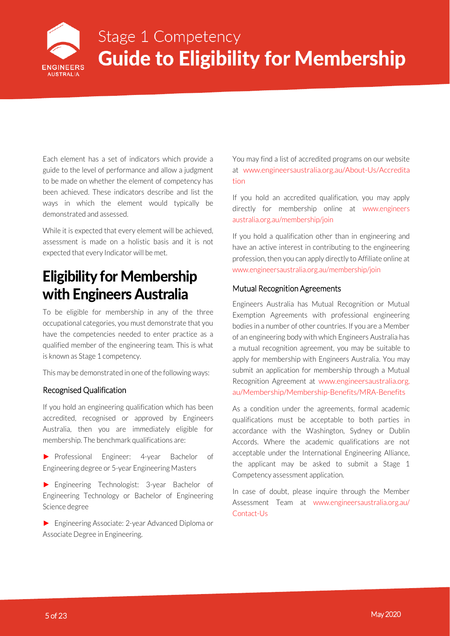

<span id="page-5-0"></span>Each element has a set of indicators which provide a guide to the level of performance and allow a judgment to be made on whether the element of competency has been achieved. These indicators describe and list the ways in which the element would typically be demonstrated and assessed.

While it is expected that every element will be achieved, assessment is made on a holistic basis and it is not expected that every Indicator will be met.

### Eligibility for Membership with Engineers Australia

To be eligible for membership in any of the three occupational categories, you must demonstrate that you have the competencies needed to enter practice as a qualified member of the engineering team. This is what is known as Stage 1 competency.

This may be demonstrated in one of the following ways:

#### Recognised Qualification

If you hold an engineering qualification which has been accredited, recognised or approved by Engineers Australia, then you are immediately eligible for membership. The benchmark qualifications are:

► Professional Engineer: 4-year Bachelor of Engineering degree or 5-year Engineering Masters

► Engineering Technologist: 3-year Bachelor of Engineering Technology or Bachelor of Engineering Science degree

► Engineering Associate: 2-year Advanced Diploma or Associate Degree in Engineering.

You may find a list of accredited programs on our website at [www.engineersaustralia.org.au/About-Us/Accredita](http://www.engineersaustralia.org.au/About-Us/Accreditation) [tion](http://www.engineersaustralia.org.au/About-Us/Accreditation)

If you hold an accredited qualification, you may apply directly for membership online at [www.engineers](http://www.engineersaustralia.org.au/membership/join) [australia.org.au/membership/join](http://www.engineersaustralia.org.au/membership/join)

If you hold a qualification other than in engineering and have an active interest in contributing to the engineering profession, then you can apply directly to Affiliate online at [www.engineersaustralia.org.au/membership/join](http://www.engineersaustralia.org.au/membership/join)

#### Mutual Recognition Agreements

Engineers Australia has Mutual Recognition or Mutual Exemption Agreements with professional engineering bodies in a number of other countries. If you are a Member of an engineering body with which Engineers Australia has a mutual recognition agreement, you may be suitable to apply for membership with Engineers Australia. You may submit an application for membership through a Mutual Recognition Agreement at [www.engineersaustralia.org.](http://www.engineersaustralia.org.au/Membership/Membership-Benefits/MRA-Benefits) [au/Membership/Membership-Benefits/MRA-Benefits](http://www.engineersaustralia.org.au/Membership/Membership-Benefits/MRA-Benefits)

As a condition under the agreements, formal academic qualifications must be acceptable to both parties in accordance with the Washington, Sydney or Dublin Accords. Where the academic qualifications are not acceptable under the International Engineering Alliance, the applicant may be asked to submit a Stage 1 Competency assessment application.

In case of doubt, please inquire through the Member Assessment Team at [www.engineersaustralia.org.au/](http://www.engineersaustralia.org.au/Contact-Us) [Contact-Us](http://www.engineersaustralia.org.au/Contact-Us)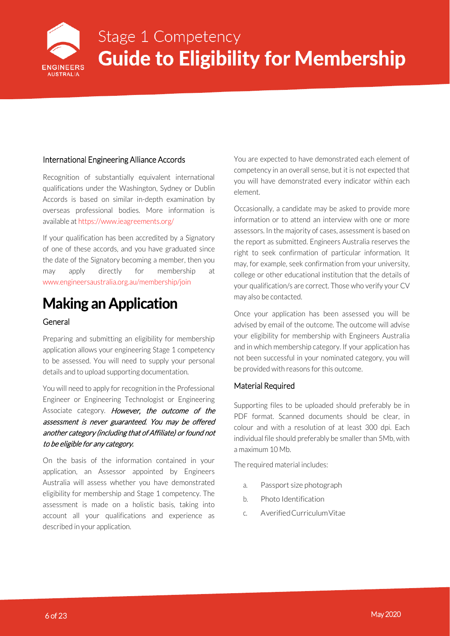

#### <span id="page-6-0"></span>International Engineering Alliance Accords

Recognition of substantially equivalent international qualifications under the Washington, Sydney or Dublin Accords is based on similar in-depth examination by overseas professional bodies. More information is available a[t https://www.ieagreements.org/](https://www.ieagreements.org/)

If your qualification has been accredited by a Signatory of one of these accords, and you have graduated since the date of the Signatory becoming a member, then you may apply directly for membership at [www.engineersaustralia.org.au/membership/join](http://www.engineersaustralia.org.au/membership/join)

### Making an Application

#### General

Preparing and submitting an eligibility for membership application allows your engineering Stage 1 competency to be assessed. You will need to supply your personal details and to upload supporting documentation.

You will need to apply for recognition in the Professional Engineer or Engineering Technologist or Engineering Associate category. However, the outcome of the assessment is never guaranteed. You may be offered another category (including that of Affiliate) or found not to be eligible for any category.

On the basis of the information contained in your application, an Assessor appointed by Engineers Australia will assess whether you have demonstrated eligibility for membership and Stage 1 competency. The assessment is made on a holistic basis, taking into account all your qualifications and experience as described in your application.

You are expected to have demonstrated each element of competency in an overall sense, but it is not expected that you will have demonstrated every indicator within each element.

Occasionally, a candidate may be asked to provide more information or to attend an interview with one or more assessors. In the majority of cases, assessment is based on the report as submitted. Engineers Australia reserves the right to seek confirmation of particular information. It may, for example, seek confirmation from your university, college or other educational institution that the details of your qualification/s are correct. Those who verify your CV may also be contacted.

Once your application has been assessed you will be advised by email of the outcome. The outcome will advise your eligibility for membership with Engineers Australia and in which membership category. If your application has not been successful in your nominated category, you will be provided with reasons for this outcome.

#### Material Required

Supporting files to be uploaded should preferably be in PDF format. Scanned documents should be clear, in colour and with a resolution of at least 300 dpi. Each individual file should preferably be smaller than 5Mb, with a maximum 10 Mb.

The required material includes:

- a. Passport size photograph
- b. Photo Identification
- c. AverifiedCurriculumVitae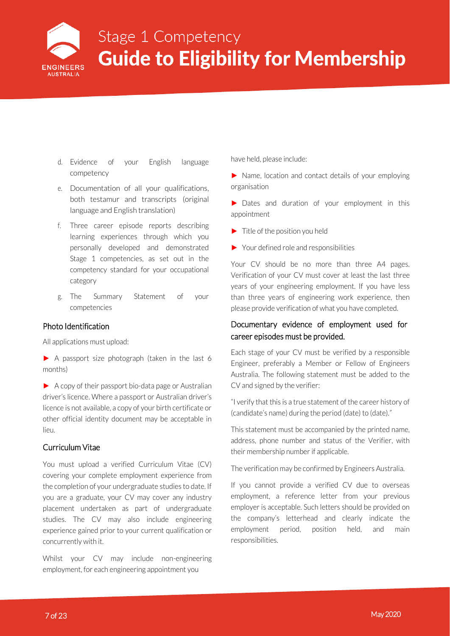

- <span id="page-7-0"></span>d. Evidence of your English language competency
- e. Documentation of all your qualifications, both testamur and transcripts (original language and English translation)
- f. Three career episode reports describing learning experiences through which you personally developed and demonstrated Stage 1 competencies, as set out in the competency standard for your occupational category
- g. The Summary Statement of your competencies

#### Photo Identification

All applications must upload:

► A passport size photograph (taken in the last 6 months)

► A copy of their passport bio-data page or Australian driver's licence. Where a passport or Australian driver's licence is not available, a copy of your birth certificate or other official identity document may be acceptable in lieu.

#### Curriculum Vitae

You must upload a verified Curriculum Vitae (CV) covering your complete employment experience from the completion of your undergraduate studies to date. If you are a graduate, your CV may cover any industry placement undertaken as part of undergraduate studies. The CV may also include engineering experience gained prior to your current qualification or concurrently with it.

Whilst your CV may include non-engineering employment, for each engineering appointment you

have held, please include:

► Name, location and contact details of your employing organisation

► Dates and duration of your employment in this appointment

- $\blacktriangleright$  Title of the position you held
- ► Your defined role and responsibilities

Your CV should be no more than three A4 pages. Verification of your CV must cover at least the last three years of your engineering employment. If you have less than three years of engineering work experience, then please provide verification of what you have completed.

#### Documentary evidence of employment used for career episodes must be provided.

Each stage of your CV must be verified by a responsible Engineer, preferably a Member or Fellow of Engineers Australia. The following statement must be added to the CV and signed by the verifier:

"I verify that this is a true statement of the career history of (candidate's name) during the period (date) to (date)."

This statement must be accompanied by the printed name, address, phone number and status of the Verifier, with their membership number if applicable.

The verification may be confirmed by Engineers Australia.

If you cannot provide a verified CV due to overseas employment, a reference letter from your previous employer is acceptable. Such letters should be provided on the company's letterhead and clearly indicate the employment period, position held, and main responsibilities.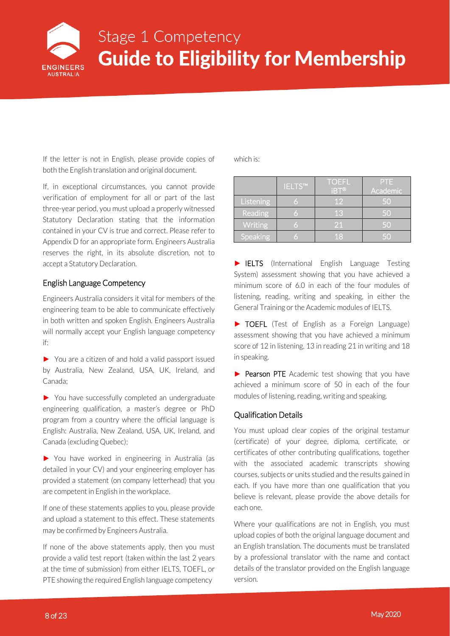

<span id="page-8-0"></span>If the letter is not in English, please provide copies of both the English translation and original document.

If, in exceptional circumstances, you cannot provide verification of employment for all or part of the last three-year period, you must upload a properly witnessed Statutory Declaration stating that the information contained in your CV is true and correct. Please refer to Appendix D for an appropriate form. Engineers Australia reserves the right, in its absolute discretion, not to accept a Statutory Declaration.

#### English Language Competency

Engineers Australia considers it vital for members of the engineering team to be able to communicate effectively in both written and spoken English. Engineers Australia will normally accept your English language competency if:

► You are a citizen of and hold a valid passport issued by Australia, New Zealand, USA, UK, Ireland, and Canada;

► You have successfully completed an undergraduate engineering qualification, a master's degree or PhD program from a country where the official language is English: Australia, New Zealand, USA, UK, Ireland, and Canada (excluding Quebec);

► You have worked in engineering in Australia (as detailed in your CV) and your engineering employer has provided a statement (on company letterhead) that you are competent in English in the workplace.

If one of these statements applies to you, please provide and upload a statement to this effect. These statements may be confirmed by Engineers Australia.

If none of the above statements apply, then you must provide a valid test report (taken within the last 2 years at the time of submission) from either IELTS, TOEFL, or PTE showing the required English language competency

which is:

|           | IELTS™ | <b>TOEFL</b><br>liBT®l | PTE<br>Academic |
|-----------|--------|------------------------|-----------------|
| Listening | 6      | $\overline{1}2'$       | 50              |
| Reading   | G      | 13                     | 50              |
| Writing   | ó      | 21                     | 50              |
| Speaking  | ó      | 18                     | 50              |

► IELTS (International English Language Testing System) assessment showing that you have achieved a minimum score of 6.0 in each of the four modules of listening, reading, writing and speaking, in either the General Training or the Academic modules of IELTS.

► TOEFL (Test of English as a Foreign Language) assessment showing that you have achieved a minimum score of 12 in listening, 13 in reading 21 in writing and 18 in speaking.

▶ Pearson PTE Academic test showing that you have achieved a minimum score of 50 in each of the four modules of listening, reading, writing and speaking.

#### Qualification Details

You must upload clear copies of the original testamur (certificate) of your degree, diploma, certificate, or certificates of other contributing qualifications, together with the associated academic transcripts showing courses, subjects or units studied and the results gained in each. If you have more than one qualification that you believe is relevant, please provide the above details for each one.

Where your qualifications are not in English, you must upload copies of both the original language document and an English translation. The documents must be translated by a professional translator with the name and contact details of the translator provided on the English language version.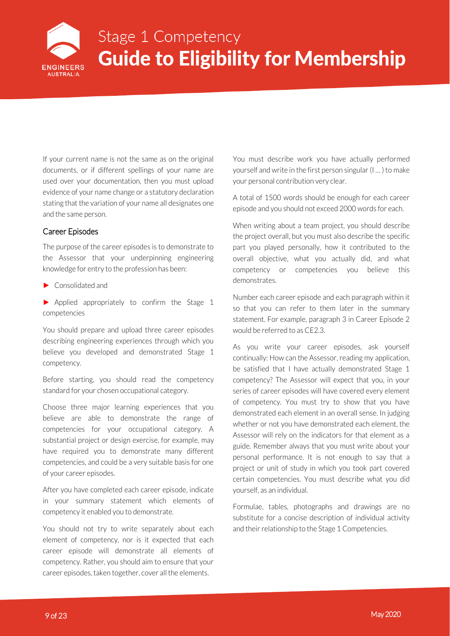

<span id="page-9-0"></span>If your current name is not the same as on the original documents, or if different spellings of your name are used over your documentation, then you must upload evidence of your name change or a statutory declaration stating that the variation of your name all designates one and the same person.

#### Career Episodes

The purpose of the career episodes is to demonstrate to the Assessor that your underpinning engineering knowledge for entry to the profession has been:

► Consolidated and

► Applied appropriately to confirm the Stage 1 competencies

You should prepare and upload three career episodes describing engineering experiences through which you believe you developed and demonstrated Stage 1 competency.

Before starting, you should read the competency standard for your chosen occupational category.

Choose three major learning experiences that you believe are able to demonstrate the range of competencies for your occupational category. A substantial project or design exercise, for example, may have required you to demonstrate many different competencies, and could be a very suitable basis for one of your career episodes.

After you have completed each career episode, indicate in your summary statement which elements of competency it enabled you to demonstrate.

You should not try to write separately about each element of competency, nor is it expected that each career episode will demonstrate all elements of competency. Rather, you should aim to ensure that your career episodes, taken together, cover all the elements.

You must describe work you have actually performed yourself and write in the first person singular (I … ) to make your personal contribution very clear.

A total of 1500 words should be enough for each career episode and you should not exceed 2000 words for each.

When writing about a team project, you should describe the project overall, but you must also describe the specific part you played personally, how it contributed to the overall objective, what you actually did, and what competency or competencies you believe this demonstrates.

Number each career episode and each paragraph within it so that you can refer to them later in the summary statement. For example, paragraph 3 in Career Episode 2 would be referred to as CE2.3.

As you write your career episodes, ask yourself continually: How can the Assessor, reading my application, be satisfied that I have actually demonstrated Stage 1 competency? The Assessor will expect that you, in your series of career episodes will have covered every element of competency. You must try to show that you have demonstrated each element in an overall sense. In judging whether or not you have demonstrated each element, the Assessor will rely on the indicators for that element as a guide. Remember always that you must write about your personal performance. It is not enough to say that a project or unit of study in which you took part covered certain competencies. You must describe what you did yourself, as an individual.

Formulae, tables, photographs and drawings are no substitute for a concise description of individual activity and their relationship to the Stage 1 Competencies.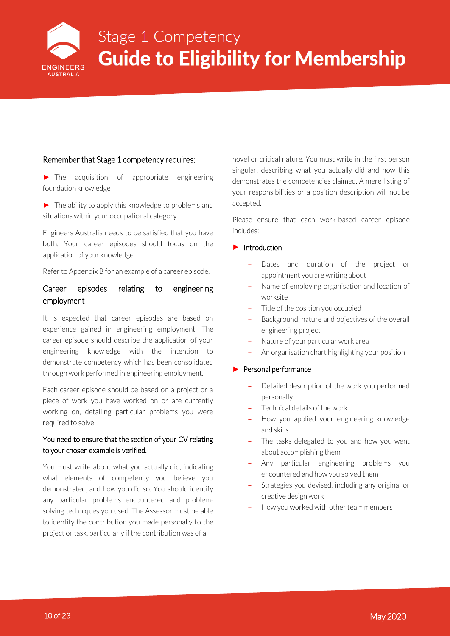

#### <span id="page-10-0"></span>Remember that Stage 1 competency requires:

► The acquisition of appropriate engineering foundation knowledge

 $\blacktriangleright$  The ability to apply this knowledge to problems and situations within your occupational category

Engineers Australia needs to be satisfied that you have both. Your career episodes should focus on the application of your knowledge.

Refer to Appendix B for an example of a career episode.

#### Career episodes relating to engineering employment

It is expected that career episodes are based on experience gained in engineering employment. The career episode should describe the application of your engineering knowledge with the intention to demonstrate competency which has been consolidated through work performed in engineering employment.

Each career episode should be based on a project or a piece of work you have worked on or are currently working on, detailing particular problems you were required to solve.

#### You need to ensure that the section of your CV relating to your chosen example is verified.

You must write about what you actually did, indicating what elements of competency you believe you demonstrated, and how you did so. You should identify any particular problems encountered and problemsolving techniques you used. The Assessor must be able to identify the contribution you made personally to the project or task, particularly if the contribution was of a

novel or critical nature. You must write in the first person singular, describing what you actually did and how this demonstrates the competencies claimed. A mere listing of your responsibilities or a position description will not be accepted.

Please ensure that each work-based career episode includes:

#### ► Introduction

- Dates and duration of the project or appointment you are writing about
- Name of employing organisation and location of worksite
- Title of the position you occupied
- Background, nature and objectives of the overall engineering project
- Nature of your particular work area
- An organisation chart highlighting your position

#### ► Personal performance

- Detailed description of the work you performed personally
- Technical details of the work
- How you applied your engineering knowledge and skills
- The tasks delegated to you and how you went about accomplishing them
- Any particular engineering problems you encountered and how you solved them
- Strategies you devised, including any original or creative design work
- How you worked with other team members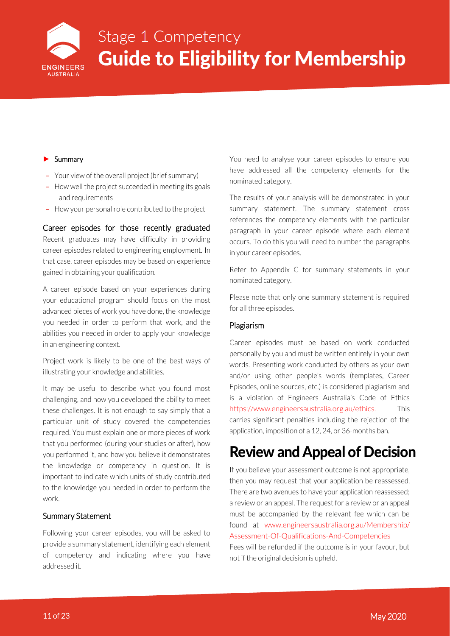

#### <span id="page-11-0"></span>► Summary

- Your view of the overall project (brief summary)
- How well the project succeeded in meeting its goals and requirements
- How your personal role contributed to the project

#### Career episodes for those recently graduated

Recent graduates may have difficulty in providing career episodes related to engineering employment. In that case, career episodes may be based on experience gained in obtaining your qualification.

A career episode based on your experiences during your educational program should focus on the most advanced pieces of work you have done, the knowledge you needed in order to perform that work, and the abilities you needed in order to apply your knowledge in an engineering context.

Project work is likely to be one of the best ways of illustrating your knowledge and abilities.

It may be useful to describe what you found most challenging, and how you developed the ability to meet these challenges. It is not enough to say simply that a particular unit of study covered the competencies required. You must explain one or more pieces of work that you performed (during your studies or after), how you performed it, and how you believe it demonstrates the knowledge or competency in question. It is important to indicate which units of study contributed to the knowledge you needed in order to perform the work.

#### Summary Statement

Following your career episodes, you will be asked to provide a summary statement, identifying each element of competency and indicating where you have addressed it.

You need to analyse your career episodes to ensure you have addressed all the competency elements for the nominated category.

The results of your analysis will be demonstrated in your summary statement. The summary statement cross references the competency elements with the particular paragraph in your career episode where each element occurs. To do this you will need to number the paragraphs in your career episodes.

Refer to Appendix C for summary statements in your nominated category.

Please note that only one summary statement is required for all three episodes.

#### Plagiarism

Career episodes must be based on work conducted personally by you and must be written entirely in your own words. Presenting work conducted by others as your own and/or using other people's words (templates, Career Episodes, online sources, etc.) is considered plagiarism and is a violation of Engineers Australia's Code of Ethics [https://www.engineersaustralia.org.au/ethics.](https://www.engineersaustralia.org.au/ethics) This carries significant penalties including the rejection of the application, imposition of a 12, 24, or 36-months ban.

### Review and Appeal of Decision

If you believe your assessment outcome is not appropriate, then you may request that your application be reassessed. There are two avenues to have your application reassessed; a review or an appeal. The request for a review or an appeal must be accompanied by the relevant fee which can be found at [www.engineersaustralia.org.au/Membership/](http://www.engineersaustralia.org.au/Membership/Assessment-Of-Qualifications-And-Competencies) [Assessment-Of-Qualifications-And-Competencies](http://www.engineersaustralia.org.au/Membership/Assessment-Of-Qualifications-And-Competencies)

Fees will be refunded if the outcome is in your favour, but not if the original decision is upheld.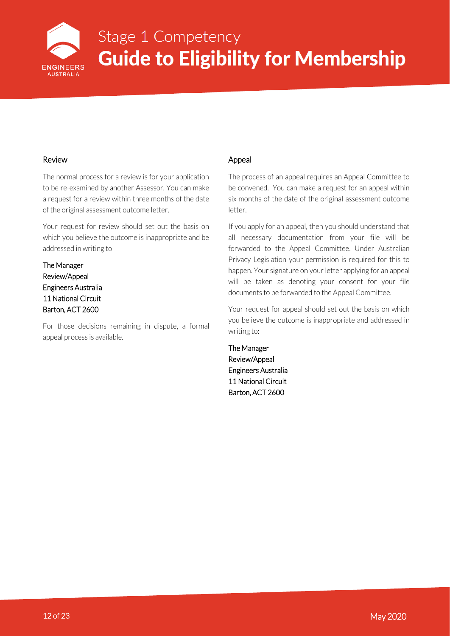

#### <span id="page-12-0"></span>Review

The normal process for a review is for your application to be re-examined by another Assessor. You can make a request for a review within three months of the date of the original assessment outcome letter.

Your request for review should set out the basis on which you believe the outcome is inappropriate and be addressed in writing to

The Manager Review/Appeal Engineers Australia 11 National Circuit Barton, ACT 2600

For those decisions remaining in dispute, a formal appeal process is available.

#### Appeal

The process of an appeal requires an Appeal Committee to be convened. You can make a request for an appeal within six months of the date of the original assessment outcome letter.

If you apply for an appeal, then you should understand that all necessary documentation from your file will be forwarded to the Appeal Committee. Under Australian Privacy Legislation your permission is required for this to happen. Your signature on your letter applying for an appeal will be taken as denoting your consent for your file documents to be forwarded to the Appeal Committee.

Your request for appeal should set out the basis on which you believe the outcome is inappropriate and addressed in writing to:

The Manager Review/Appeal Engineers Australia 11 National Circuit Barton, ACT 2600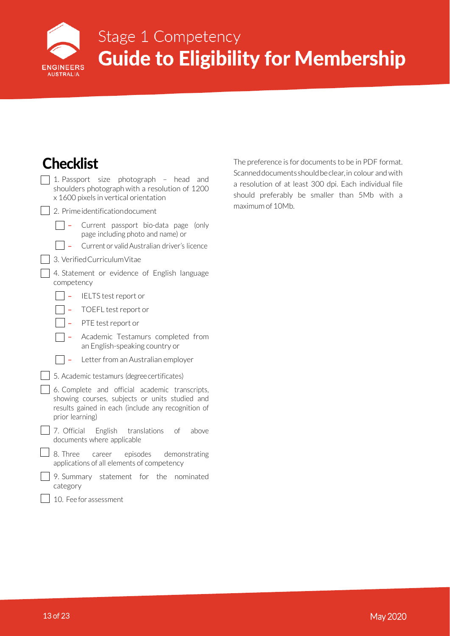

## Stage 1 Competency **Eligibility for Membership Guide**

<span id="page-13-0"></span>

| Checklist                                                                                                                                                                 | T           |
|---------------------------------------------------------------------------------------------------------------------------------------------------------------------------|-------------|
| 1. Passport size photograph<br>– head<br>and<br>shoulders photograph with a resolution of 1200<br>x 1600 pixels in vertical orientation                                   | S<br>a<br>S |
| 2. Prime identification document                                                                                                                                          | n           |
| Current passport bio-data page<br>(only<br>page including photo and name) or                                                                                              |             |
| Current or valid Australian driver's licence                                                                                                                              |             |
| 3. Verified Curriculum Vitae                                                                                                                                              |             |
| 4. Statement or evidence of English language<br>competency                                                                                                                |             |
| IELTS test report or                                                                                                                                                      |             |
| TOEFL test report or                                                                                                                                                      |             |
| PTE test report or                                                                                                                                                        |             |
| Academic Testamurs completed from<br>an English-speaking country or                                                                                                       |             |
| Letter from an Australian employer                                                                                                                                        |             |
| 5. Academic testamurs (degree certificates)                                                                                                                               |             |
| 6. Complete and official academic transcripts,<br>showing courses, subjects or units studied and<br>results gained in each (include any recognition of<br>prior learning) |             |
| 7. Official<br>English translations<br>of<br>above<br>documents where applicable                                                                                          |             |
| 8. Three<br>episodes<br>demonstrating<br>career<br>applications of all elements of competency                                                                             |             |
| 9. Summary statement for the<br>nominated<br>category                                                                                                                     |             |
| 10. Fee for assessment                                                                                                                                                    |             |

The preference is for documents to be in PDF format. Scanneddocumentsshouldbeclear,in colour and with resolution of at least 300 dpi. Each individual file should preferably be smaller than 5Mb with a maximum of 10Mb.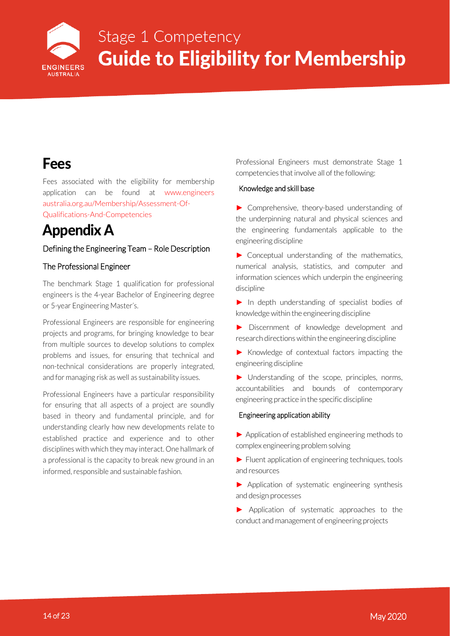

### <span id="page-14-0"></span>Fees

Fees associated with the eligibility for membership application can be found at [www.engineers](http://www.engineersaustralia.org.au/Membership/Assessment-Of-Qualifications-And-Competencies) [australia.org.au/Membership/Assessment-Of-](http://www.engineersaustralia.org.au/Membership/Assessment-Of-Qualifications-And-Competencies)[Qualifications-And-Competencies](http://www.engineersaustralia.org.au/Membership/Assessment-Of-Qualifications-And-Competencies)

### Appendix A

#### Defining the Engineering Team – Role Description

#### The Professional Engineer

The benchmark Stage 1 qualification for professional engineers is the 4-year Bachelor of Engineering degree or 5-year Engineering Master's.

Professional Engineers are responsible for engineering projects and programs, for bringing knowledge to bear from multiple sources to develop solutions to complex problems and issues, for ensuring that technical and non-technical considerations are properly integrated, and for managing risk as well as sustainability issues.

Professional Engineers have a particular responsibility for ensuring that all aspects of a project are soundly based in theory and fundamental principle, and for understanding clearly how new developments relate to established practice and experience and to other disciplines with which they may interact. One hallmark of a professional is the capacity to break new ground in an informed, responsible and sustainable fashion.

Professional Engineers must demonstrate Stage 1 competencies that involve all of the following:

#### Knowledge and skill base

► Comprehensive, theory-based understanding of the underpinning natural and physical sciences and the engineering fundamentals applicable to the engineering discipline

► Conceptual understanding of the mathematics, numerical analysis, statistics, and computer and information sciences which underpin the engineering discipline

► In depth understanding of specialist bodies of knowledge within the engineering discipline

► Discernment of knowledge development and research directions within the engineering discipline

► Knowledge of contextual factors impacting the engineering discipline

► Understanding of the scope, principles, norms, accountabilities and bounds of contemporary engineering practice in the specific discipline

#### Engineering application ability

► Application of established engineering methods to complex engineering problem solving

 $\blacktriangleright$  Fluent application of engineering techniques, tools and resources

► Application of systematic engineering synthesis and design processes

► Application of systematic approaches to the conduct and management of engineering projects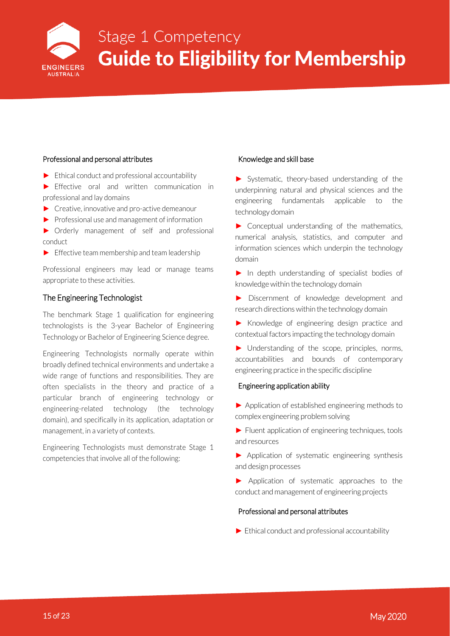

#### <span id="page-15-0"></span>Professional and personal attributes

- $\blacktriangleright$  Ethical conduct and professional accountability
- ► Effective oral and written communication in professional and lay domains
- ► Creative, innovative and pro-active demeanour
- ► Professional use and management of information
- ► Orderly management of self and professional conduct
- $\blacktriangleright$  Effective team membership and team leadership

Professional engineers may lead or manage teams appropriate to these activities.

#### The Engineering Technologist

The benchmark Stage 1 qualification for engineering technologists is the 3-year Bachelor of Engineering Technology or Bachelor of Engineering Science degree.

Engineering Technologists normally operate within broadly defined technical environments and undertake a wide range of functions and responsibilities. They are often specialists in the theory and practice of a particular branch of engineering technology or engineering-related technology (the technology domain), and specifically in its application, adaptation or management, in a variety of contexts.

Engineering Technologists must demonstrate Stage 1 competencies that involve all of the following:

#### Knowledge and skill base

► Systematic, theory-based understanding of the underpinning natural and physical sciences and the engineering fundamentals applicable to the technology domain

► Conceptual understanding of the mathematics, numerical analysis, statistics, and computer and information sciences which underpin the technology domain

► In depth understanding of specialist bodies of knowledge within the technology domain

► Discernment of knowledge development and research directions within the technology domain

► Knowledge of engineering design practice and contextual factors impacting the technology domain

► Understanding of the scope, principles, norms, accountabilities and bounds of contemporary engineering practice in the specific discipline

#### Engineering application ability

► Application of established engineering methods to complex engineering problem solving

► Fluent application of engineering techniques, tools and resources

► Application of systematic engineering synthesis and design processes

► Application of systematic approaches to the conduct and management of engineering projects

#### Professional and personal attributes

► Ethical conduct and professional accountability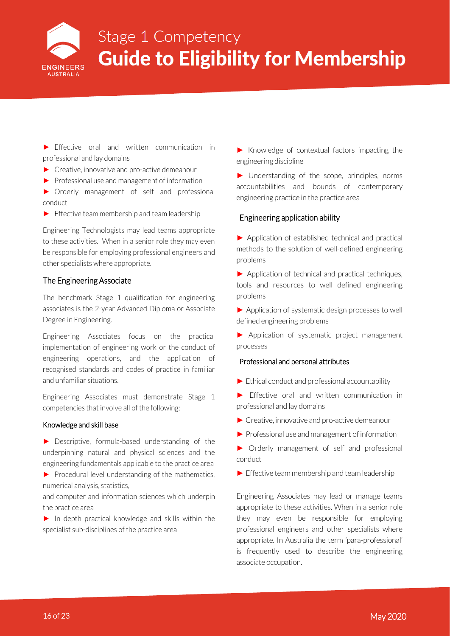

<span id="page-16-0"></span>► Effective oral and written communication in professional and lay domains

- ► Creative, innovative and pro-active demeanour
- ► Professional use and management of information

► Orderly management of self and professional conduct

 $\blacktriangleright$  Effective team membership and team leadership

Engineering Technologists may lead teams appropriate to these activities. When in a senior role they may even be responsible for employing professional engineers and other specialists where appropriate.

#### The Engineering Associate

The benchmark Stage 1 qualification for engineering associates is the 2-year Advanced Diploma or Associate Degree in Engineering.

Engineering Associates focus on the practical implementation of engineering work or the conduct of engineering operations, and the application of recognised standards and codes of practice in familiar and unfamiliar situations.

Engineering Associates must demonstrate Stage 1 competencies that involve all of the following:

#### Knowledge and skill base

► Descriptive, formula-based understanding of the underpinning natural and physical sciences and the engineering fundamentals applicable to the practice area

 $\blacktriangleright$  Procedural level understanding of the mathematics, numerical analysis, statistics,

and computer and information sciences which underpin the practice area

► In depth practical knowledge and skills within the specialist sub-disciplines of the practice area

► Knowledge of contextual factors impacting the engineering discipline

► Understanding of the scope, principles, norms accountabilities and bounds of contemporary engineering practice in the practice area

#### Engineering application ability

► Application of established technical and practical methods to the solution of well-defined engineering problems

► Application of technical and practical techniques, tools and resources to well defined engineering problems

► Application of systematic design processes to well defined engineering problems

► Application of systematic project management processes

#### Professional and personal attributes

- ► Ethical conduct and professional accountability
- ► Effective oral and written communication in professional and lay domains
- ► Creative, innovative and pro-active demeanour
- ► Professional use and management of information
- ► Orderly management of self and professional conduct
- $\blacktriangleright$  Effective team membership and team leadership

Engineering Associates may lead or manage teams appropriate to these activities. When in a senior role they may even be responsible for employing professional engineers and other specialists where appropriate. In Australia the term 'para-professional' is frequently used to describe the engineering associate occupation.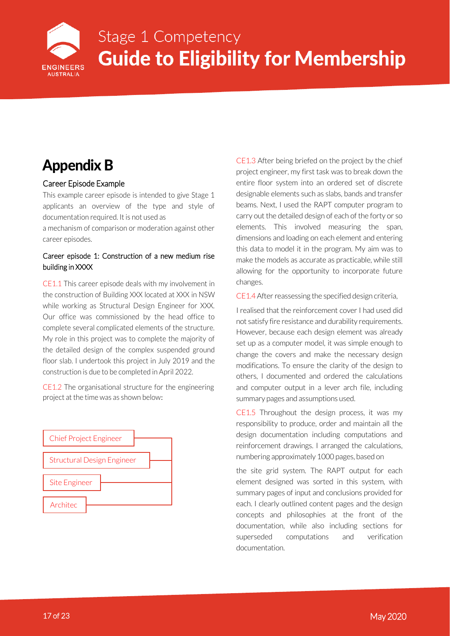<span id="page-17-0"></span>

### Appendix B

#### Career Episode Example

This example career episode is intended to give Stage 1 applicants an overview of the type and style of documentation required. It is not used as

a mechanism of comparison or moderation against other career episodes.

#### Career episode 1: Construction of a new medium rise building in XXXX

CE1.1 This career episode deals with my involvement in the construction of Building XXX located at XXX in NSW while working as Structural Design Engineer for XXX. Our office was commissioned by the head office to complete several complicated elements of the structure. My role in this project was to complete the majority of the detailed design of the complex suspended ground floor slab. I undertook this project in July 2019 and the construction is due to be completed in April 2022.

CE1.2 The organisational structure for the engineering project at the time was as shown below:



CE1.3 After being briefed on the project by the chief project engineer, my first task was to break down the entire floor system into an ordered set of discrete designable elements such as slabs, bands and transfer beams. Next, I used the RAPT computer program to carry out the detailed design of each of the forty or so elements. This involved measuring the span, dimensions and loading on each element and entering this data to model it in the program. My aim was to make the models as accurate as practicable, while still allowing for the opportunity to incorporate future changes.

CE1.4After reassessing the specified design criteria,

I realised that the reinforcement cover I had used did not satisfy fire resistance and durability requirements. However, because each design element was already set up as a computer model, it was simple enough to change the covers and make the necessary design modifications. To ensure the clarity of the design to others, I documented and ordered the calculations and computer output in a lever arch file, including summary pages and assumptions used.

CE1.5 Throughout the design process, it was my responsibility to produce, order and maintain all the design documentation including computations and reinforcement drawings. I arranged the calculations, numbering approximately 1000 pages, based on

the site grid system. The RAPT output for each element designed was sorted in this system, with summary pages of input and conclusions provided for each. I clearly outlined content pages and the design concepts and philosophies at the front of the documentation, while also including sections for superseded computations and verification documentation.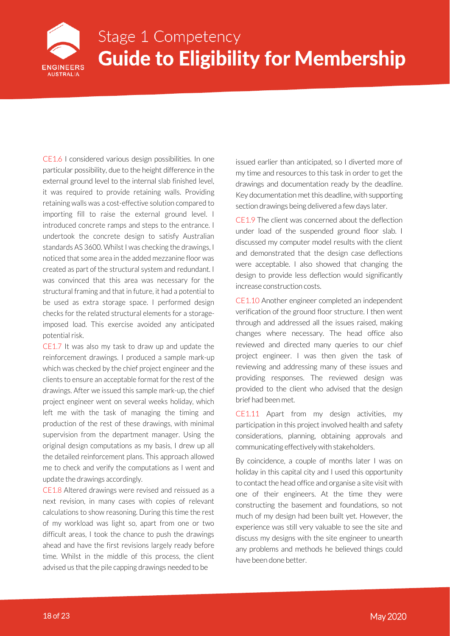

CE1.6 I considered various design possibilities. In one particular possibility, due to the height difference in the external ground level to the internal slab finished level, it was required to provide retaining walls. Providing retaining walls was a cost-effective solution compared to importing fill to raise the external ground level. I introduced concrete ramps and steps to the entrance. I undertook the concrete design to satisfy Australian standards AS 3600. Whilst I was checking the drawings, I noticed that some area in the added mezzanine floor was created as part of the structural system and redundant. I was convinced that this area was necessary for the structural framing and that in future, it had a potential to be used as extra storage space. I performed design checks for the related structural elements for a storageimposed load. This exercise avoided any anticipated potential risk.

CE1.7 It was also my task to draw up and update the reinforcement drawings. I produced a sample mark-up which was checked by the chief project engineer and the clients to ensure an acceptable format for the rest of the drawings. After we issued this sample mark-up, the chief project engineer went on several weeks holiday, which left me with the task of managing the timing and production of the rest of these drawings, with minimal supervision from the department manager. Using the original design computations as my basis, I drew up all the detailed reinforcement plans. This approach allowed me to check and verify the computations as I went and update the drawings accordingly.

CE1.8 Altered drawings were revised and reissued as a next revision, in many cases with copies of relevant calculations to show reasoning. During this time the rest of my workload was light so, apart from one or two difficult areas, I took the chance to push the drawings ahead and have the first revisions largely ready before time. Whilst in the middle of this process, the client advised us that the pile capping drawings needed to be

issued earlier than anticipated, so I diverted more of my time and resources to this task in order to get the drawings and documentation ready by the deadline. Key documentation met this deadline, with supporting section drawings being delivered a few days later.

CE1.9 The client was concerned about the deflection under load of the suspended ground floor slab. I discussed my computer model results with the client and demonstrated that the design case deflections were acceptable. I also showed that changing the design to provide less deflection would significantly increase construction costs.

CE1.10 Another engineer completed an independent verification of the ground floor structure. I then went through and addressed all the issues raised, making changes where necessary. The head office also reviewed and directed many queries to our chief project engineer. I was then given the task of reviewing and addressing many of these issues and providing responses. The reviewed design was provided to the client who advised that the design brief had been met.

CE1.11 Apart from my design activities, my participation in this project involved health and safety considerations, planning, obtaining approvals and communicating effectively with stakeholders.

By coincidence, a couple of months later I was on holiday in this capital city and I used this opportunity to contact the head office and organise a site visit with one of their engineers. At the time they were constructing the basement and foundations, so not much of my design had been built yet. However, the experience was still very valuable to see the site and discuss my designs with the site engineer to unearth any problems and methods he believed things could have been done better.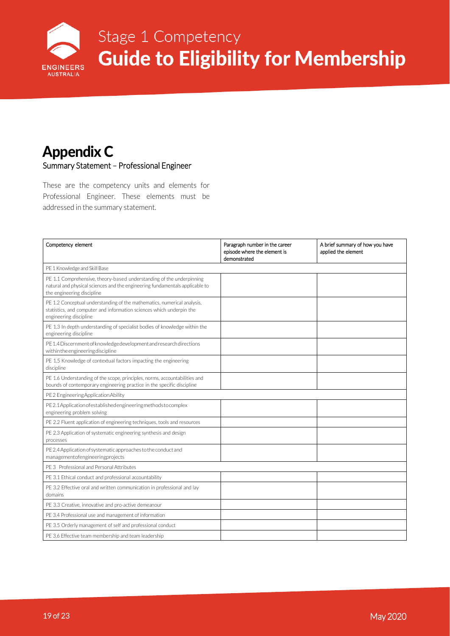

### Stage 1 Competency **Eligibility for Membership Guide**

### <span id="page-19-0"></span>Appendix C Summary Statement – Professional Engineer

These are the competency units and elements for Professional Engineer. These elements must be addressed in the summary statement.

| Competency element                                                                                                                                                                 | Paragraph number in the career<br>episode where the element is<br>demonstrated | A brief summary of how you have<br>applied the element |
|------------------------------------------------------------------------------------------------------------------------------------------------------------------------------------|--------------------------------------------------------------------------------|--------------------------------------------------------|
| PE 1 Knowledge and Skill Base                                                                                                                                                      |                                                                                |                                                        |
| PE 1.1 Comprehensive, theory-based understanding of the underpinning<br>natural and physical sciences and the engineering fundamentals applicable to<br>the engineering discipline |                                                                                |                                                        |
| PE 1.2 Conceptual understanding of the mathematics, numerical analysis,<br>statistics, and computer and information sciences which underpin the<br>engineering discipline          |                                                                                |                                                        |
| PE 1.3 In depth understanding of specialist bodies of knowledge within the<br>engineering discipline                                                                               |                                                                                |                                                        |
| PE 1.4 Discernment of knowledge development and research directions<br>withintheengineeringdiscipline                                                                              |                                                                                |                                                        |
| PE 1.5 Knowledge of contextual factors impacting the engineering<br>discipline                                                                                                     |                                                                                |                                                        |
| PE 1.6 Understanding of the scope, principles, norms, accountabilities and<br>bounds of contemporary engineering practice in the specific discipline                               |                                                                                |                                                        |
| PE2 Engineering Application Ability                                                                                                                                                |                                                                                |                                                        |
| PE2.1Application of established engineering methods to complex<br>engineering problem solving                                                                                      |                                                                                |                                                        |
| PE 2.2 Fluent application of engineering techniques, tools and resources                                                                                                           |                                                                                |                                                        |
| PE 2.3 Application of systematic engineering synthesis and design<br>processes                                                                                                     |                                                                                |                                                        |
| PE 2.4 Application of systematic approaches to the conduct and<br>managementofengineeringprojects                                                                                  |                                                                                |                                                        |
| PE 3 Professional and Personal Attributes                                                                                                                                          |                                                                                |                                                        |
| PE 3.1 Ethical conduct and professional accountability                                                                                                                             |                                                                                |                                                        |
| PE 3.2 Effective oral and written communication in professional and lay<br>domains                                                                                                 |                                                                                |                                                        |
| PE 3.3 Creative, innovative and pro-active demeanour                                                                                                                               |                                                                                |                                                        |
| PE 3.4 Professional use and management of information                                                                                                                              |                                                                                |                                                        |
| PE 3.5 Orderly management of self and professional conduct                                                                                                                         |                                                                                |                                                        |
| PE 3.6 Effective team membership and team leadership                                                                                                                               |                                                                                |                                                        |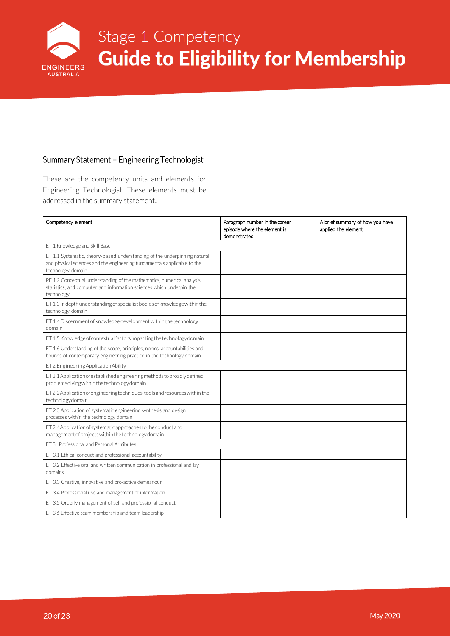

### Stage 1 Competency **Eligibility for Membership Guide**

#### <span id="page-20-0"></span>Summary Statement – Engineering Technologist

These are the competency units and elements for Engineering Technologist. These elements must be addressed in the summary statement.

| Competency element                                                                                                                                                         | Paragraph number in the career<br>episode where the element is<br>demonstrated | A brief summary of how you have<br>applied the element |
|----------------------------------------------------------------------------------------------------------------------------------------------------------------------------|--------------------------------------------------------------------------------|--------------------------------------------------------|
| ET 1 Knowledge and Skill Base                                                                                                                                              |                                                                                |                                                        |
| ET 1.1 Systematic, theory-based understanding of the underpinning natural<br>and physical sciences and the engineering fundamentals applicable to the<br>technology domain |                                                                                |                                                        |
| PE 1.2 Conceptual understanding of the mathematics, numerical analysis,<br>statistics, and computer and information sciences which underpin the<br>technology              |                                                                                |                                                        |
| ET 1.3 In depth understanding of specialist bodies of knowledge within the<br>technology domain                                                                            |                                                                                |                                                        |
| ET 1.4 Discernment of knowledge development within the technology<br>domain                                                                                                |                                                                                |                                                        |
| ET 1.5 Knowledge of contextual factors impacting the technology domain                                                                                                     |                                                                                |                                                        |
| ET 1.6 Understanding of the scope, principles, norms, accountabilities and<br>bounds of contemporary engineering practice in the technology domain                         |                                                                                |                                                        |
| ET2 Engineering Application Ability                                                                                                                                        |                                                                                |                                                        |
| ET2.1Application of established engineering methods to broadly defined<br>problem solving within the technology domain                                                     |                                                                                |                                                        |
| ET2.2Application of engineering techniques, tools and resources within the<br>technologydomain                                                                             |                                                                                |                                                        |
| ET 2.3 Application of systematic engineering synthesis and design<br>processes within the technology domain                                                                |                                                                                |                                                        |
| ET2.4Application of systematic approaches to the conduct and<br>management of projects within the technology domain                                                        |                                                                                |                                                        |
| ET 3 Professional and Personal Attributes                                                                                                                                  |                                                                                |                                                        |
| ET 3.1 Ethical conduct and professional accountability                                                                                                                     |                                                                                |                                                        |
| ET 3.2 Effective oral and written communication in professional and lay<br>domains                                                                                         |                                                                                |                                                        |
| ET 3.3 Creative, innovative and pro-active demeanour                                                                                                                       |                                                                                |                                                        |
| ET 3.4 Professional use and management of information                                                                                                                      |                                                                                |                                                        |
| ET 3.5 Orderly management of self and professional conduct                                                                                                                 |                                                                                |                                                        |
| ET 3.6 Effective team membership and team leadership                                                                                                                       |                                                                                |                                                        |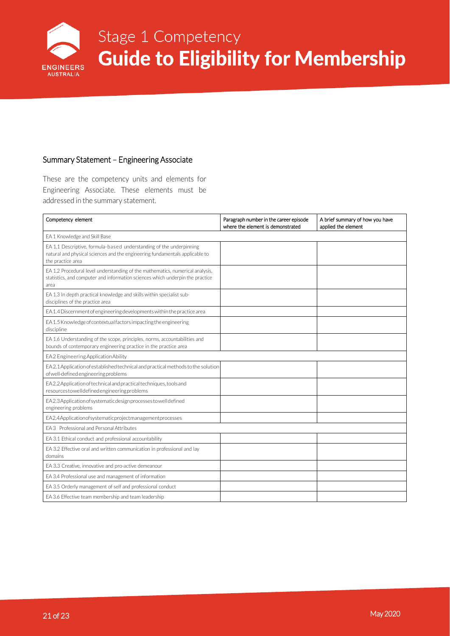

#### <span id="page-21-0"></span>Summary Statement – Engineering Associate

These are the competency units and elements for Engineering Associate. These elements must be addressed in the summary statement.

| Competency element                                                                                                                                                       | Paragraph number in the career episode<br>where the element is demonstrated | A brief summary of how you have<br>applied the element |
|--------------------------------------------------------------------------------------------------------------------------------------------------------------------------|-----------------------------------------------------------------------------|--------------------------------------------------------|
| EA 1 Knowledge and Skill Base                                                                                                                                            |                                                                             |                                                        |
| EA 1.1 Descriptive, formula-based understanding of the underpinning<br>natural and physical sciences and the engineering fundamentals applicable to<br>the practice area |                                                                             |                                                        |
| EA 1.2 Procedural level understanding of the mathematics, numerical analysis,<br>statistics, and computer and information sciences which underpin the practice<br>area   |                                                                             |                                                        |
| EA 1.3 In depth practical knowledge and skills within specialist sub-<br>disciplines of the practice area                                                                |                                                                             |                                                        |
| EA 1.4 Discernment of engineering developments within the practice area                                                                                                  |                                                                             |                                                        |
| EA 1.5 Knowledge of contextual factors impacting the engineering<br>discipline                                                                                           |                                                                             |                                                        |
| EA 1.6 Understanding of the scope, principles, norms, accountabilities and<br>bounds of contemporary engineering practice in the practice area                           |                                                                             |                                                        |
| EA2 Engineering Application Ability                                                                                                                                      |                                                                             |                                                        |
| EA2.1Application of established technical and practical methods to the solution<br>of well-defined engineering problems                                                  |                                                                             |                                                        |
| EA2.2 Application of technical and practical techniques, tools and<br>resourcestowelldefinedengineeringproblems                                                          |                                                                             |                                                        |
| EA2.3Application of systematic design processes to well defined<br>engineering problems                                                                                  |                                                                             |                                                        |
| EA2.4Applicationofsystematicprojectmanagementprocesses                                                                                                                   |                                                                             |                                                        |
| EA 3 Professional and Personal Attributes                                                                                                                                |                                                                             |                                                        |
| EA 3.1 Ethical conduct and professional accountability                                                                                                                   |                                                                             |                                                        |
| EA 3.2 Effective oral and written communication in professional and lay<br>domains                                                                                       |                                                                             |                                                        |
| EA 3.3 Creative, innovative and pro-active demeanour                                                                                                                     |                                                                             |                                                        |
| EA 3.4 Professional use and management of information                                                                                                                    |                                                                             |                                                        |
| EA 3.5 Orderly management of self and professional conduct                                                                                                               |                                                                             |                                                        |
| EA 3.6 Effective team membership and team leadership                                                                                                                     |                                                                             |                                                        |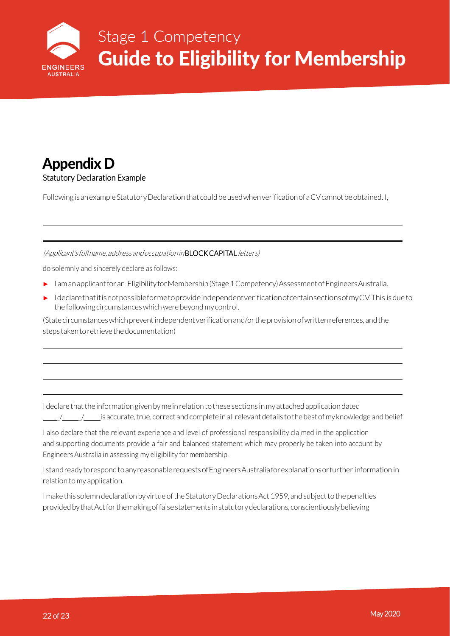

### <span id="page-22-0"></span>Appendix D Statutory Declaration Example

Following is an example Statutory Declaration that could be used when verification of a CV cannot be obtained. I,

(Applicant's full name, address and occupation in **BLOCK CAPITAL** letters)

do solemnly and sincerely declare as follows:

- ► I am an applicant for an Eligibility for Membership (Stage 1 Competency) Assessment of Engineers Australia.
- ► IdeclarethatitisnotpossibleformetoprovideindependentverificationofcertainsectionsofmyCV.This isdue to the following circumstanceswhichwerebeyondmycontrol.

(State circumstances which prevent independent verification and/or the provision of written references, and the steps taken to retrieve the documentation)

I declare that the information given by me in relation to these sections in my attached application dated \_/ \_/ isaccurate,true, correctandcompleteinallrelevantdetails tothebestofmyknowledge and belief

I also declare that the relevant experience and level of professional responsibility claimed in the application and supporting documents provide a fair and balanced statement which may properly be taken into account by Engineers Australia in assessing my eligibility for membership.

IstandreadytorespondtoanyreasonablerequestsofEngineersAustraliaforexplanationsorfurther information in relation tomy application.

I make this solemn declaration by virtue of the Statutory Declarations Act 1959, and subject to the penalties provided by that Act for the making of false statements in statutory declarations, conscientiously believing